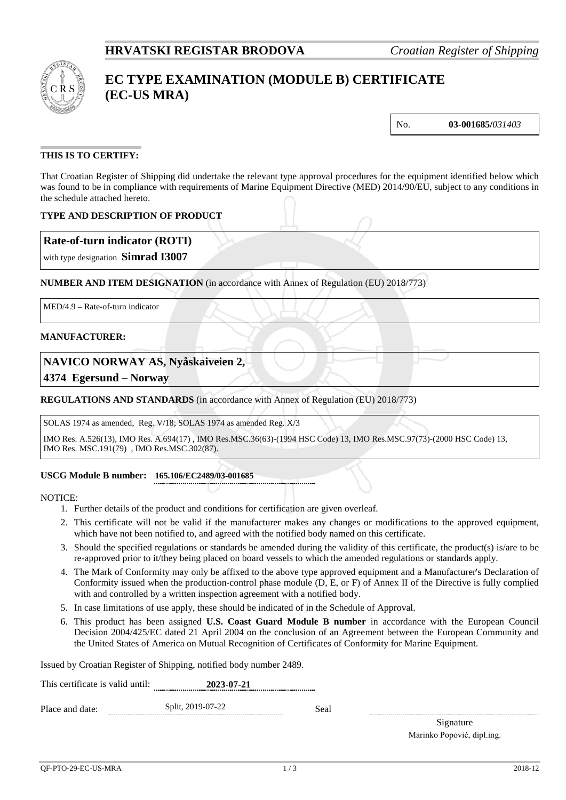

# **EC TYPE EXAMINATION (MODULE B) CERTIFICATE (EC-US MRA)**

No. **03-001685/***031403*

## **THIS IS TO CERTIFY:**

That Croatian Register of Shipping did undertake the relevant type approval procedures for the equipment identified below which was found to be in compliance with requirements of Marine Equipment Directive (MED) 2014/90/EU, subject to any conditions in the schedule attached hereto.

## **TYPE AND DESCRIPTION OF PRODUCT**

## **Rate-of-turn indicator (ROTI)**

with type designation **Simrad I3007**

## **NUMBER AND ITEM DESIGNATION** (in accordance with Annex of Regulation (EU) 2018/773)

MED/4.9 – Rate-of-turn indicator

#### **MANUFACTURER:**

## **NAVICO NORWAY AS, Nyåskaiveien 2,**

**4374 Egersund – Norway**

## **REGULATIONS AND STANDARDS** (in accordance with Annex of Regulation (EU) 2018/773)

SOLAS 1974 as amended, Reg. V/18; SOLAS 1974 as amended Reg. X/3

IMO Res. A.526(13), IMO Res. A.694(17) , IMO Res.MSC.36(63)-(1994 HSC Code) 13, IMO Res.MSC.97(73)-(2000 HSC Code) 13, IMO Res. MSC.191(79) , IMO Res.MSC.302(87).

#### **USCG Module B number: 165.106/EC2489/03-001685**

NOTICE:

- 1. Further details of the product and conditions for certification are given overleaf.
- 2. This certificate will not be valid if the manufacturer makes any changes or modifications to the approved equipment, which have not been notified to, and agreed with the notified body named on this certificate.
- 3. Should the specified regulations or standards be amended during the validity of this certificate, the product(s) is/are to be re-approved prior to it/they being placed on board vessels to which the amended regulations or standards apply.
- 4. The Mark of Conformity may only be affixed to the above type approved equipment and a Manufacturer's Declaration of Conformity issued when the production-control phase module (D, E, or F) of Annex II of the Directive is fully complied with and controlled by a written inspection agreement with a notified body.
- 5. In case limitations of use apply, these should be indicated of in the Schedule of Approval.
- 6. This product has been assigned **U.S. Coast Guard Module B number** in accordance with the European Council Decision 2004/425/EC dated 21 April 2004 on the conclusion of an Agreement between the European Community and the United States of America on Mutual Recognition of Certificates of Conformity for Marine Equipment.

Issued by Croatian Register of Shipping, notified body number 2489.

| This certificate is valid until: | 2023-07-21        |      |  |
|----------------------------------|-------------------|------|--|
| Place and date:                  | Split, 2019-07-22 | Seal |  |

Signature Marinko Popović, dipl.ing.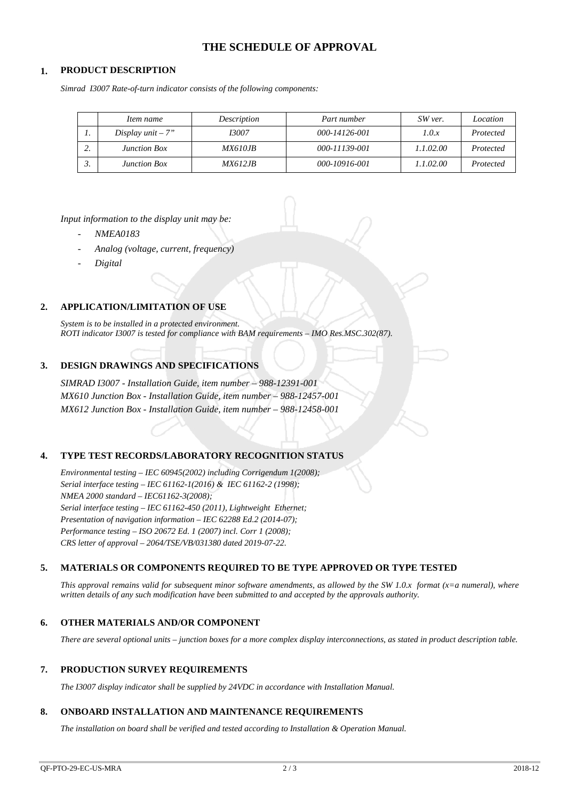## **THE SCHEDULE OF APPROVAL**

## **1. PRODUCT DESCRIPTION**

*Simrad I3007 Rate-of-turn indicator consists of the following components:*

|         | Item name           | Description    | Part number   | SW ver.   | Location  |
|---------|---------------------|----------------|---------------|-----------|-----------|
| . .     | Display $unit - 7"$ | 13007          | 000-14126-001 | 1.0.x     | Protected |
| ◠<br>٠. | <b>Junction Box</b> | <i>MX610JB</i> | 000-11139-001 | 1.1.02.00 | Protected |
| J.      | <b>Junction Box</b> | <i>MX612JB</i> | 000-10916-001 | 1.1.02.00 | Protected |

*Input information to the display unit may be:*

- *NMEA0183*
- *Analog (voltage, current, frequency)*
- *Digital*

#### **2. APPLICATION/LIMITATION OF USE**

*System is to be installed in a protected environment. ROTI indicator I3007 is tested for compliance with BAM requirements – IMO Res.MSC.302(87).*

## **3. DESIGN DRAWINGS AND SPECIFICATIONS**

*SIMRAD I3007 - Installation Guide, item number – 988-12391-001 MX610 Junction Box - Installation Guide, item number – 988-12457-001 MX612 Junction Box - Installation Guide, item number – 988-12458-001*

#### **4. TYPE TEST RECORDS/LABORATORY RECOGNITION STATUS**

*Environmental testing – IEC 60945(2002) including Corrigendum 1(2008); Serial interface testing – IEC 61162-1(2016) & IEC 61162-2 (1998); NMEA 2000 standard – IEC61162-3(2008); Serial interface testing – IEC 61162-450 (2011), Lightweight Ethernet; Presentation of navigation information – IEC 62288 Ed.2 (2014-07); Performance testing – ISO 20672 Ed. 1 (2007) incl. Corr 1 (2008); CRS letter of approval – 2064/TSE/VB/031380 dated 2019-07-22.*

#### **5. MATERIALS OR COMPONENTS REQUIRED TO BE TYPE APPROVED OR TYPE TESTED**

*This approval remains valid for subsequent minor software amendments, as allowed by the SW 1.0.x format (x=a numeral), where written details of any such modification have been submitted to and accepted by the approvals authority.*

#### **6. OTHER MATERIALS AND/OR COMPONENT**

*There are several optional units – junction boxes for a more complex display interconnections, as stated in product description table.*

#### **7. PRODUCTION SURVEY REQUIREMENTS**

*The I3007 display indicator shall be supplied by 24VDC in accordance with Installation Manual.*

#### **8. ONBOARD INSTALLATION AND MAINTENANCE REQUIREMENTS**

*The installation on board shall be verified and tested according to Installation & Operation Manual.*